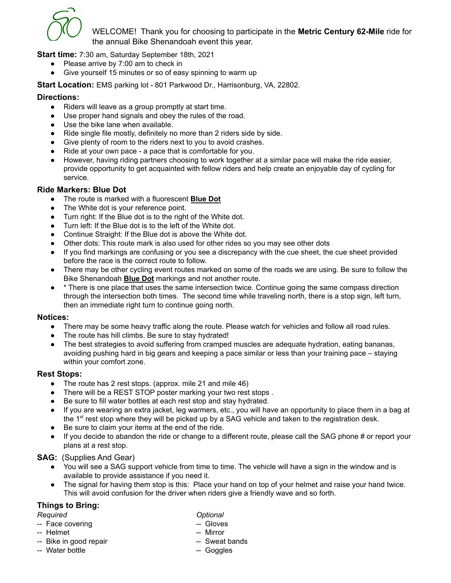

WELCOME! Thank you for choosing to participate in the **Metric Century 62-Mile** ride for the annual Bike Shenandoah event this year.

**Start time:** 7:30 am, Saturday September 18th, 2021

- Please arrive by 7:00 am to check in
- Give yourself 15 minutes or so of easy spinning to warm up

**Start Location:** EMS parking lot - 801 Parkwood Dr., Harrisonburg, VA, 22802.

### **Directions:**

- Riders will leave as a group promptly at start time.
- Use proper hand signals and obey the rules of the road.
- Use the bike lane when available.
- Ride single file mostly, definitely no more than 2 riders side by side.
- Give plenty of room to the riders next to you to avoid crashes.
- Ride at your own pace a pace that is comfortable for you.
- However, having riding partners choosing to work together at a similar pace will make the ride easier, provide opportunity to get acquainted with fellow riders and help create an enjoyable day of cycling for service.

### **Ride Markers: Blue Dot**

- The route is marked with a fluorescent **Blue Dot**
- The White dot is your reference point.
- Turn right: If the Blue dot is to the right of the White dot.
- Turn left: If the Blue dot is to the left of the White dot.
- Continue Straight: If the Blue dot is above the White dot.
- Other dots: This route mark is also used for other rides so you may see other dots
- If you find markings are confusing or you see a discrepancy with the cue sheet, the cue sheet provided before the race is the correct route to follow.
- There may be other cycling event routes marked on some of the roads we are using. Be sure to follow the Bike Shenandoah **Blue Dot** markings and not another route.
- <sup>\*</sup> There is one place that uses the same intersection twice. Continue going the same compass direction through the intersection both times. The second time while traveling north, there is a stop sign, left turn, then an immediate right turn to continue going north.

#### **Notices:**

- There may be some heavy traffic along the route. Please watch for vehicles and follow all road rules.
- The route has hill climbs. Be sure to stay hydrated!
- The best strategies to avoid suffering from cramped muscles are adequate hydration, eating bananas, avoiding pushing hard in big gears and keeping a pace similar or less than your training pace – staying within your comfort zone.

#### **Rest Stops:**

- The route has 2 rest stops. (approx. mile 21 and mile 46)
- There will be a REST STOP poster marking your two rest stops .
- Be sure to fill water bottles at each rest stop and stay hydrated.
- If you are wearing an extra jacket, leg warmers, etc., you will have an opportunity to place them in a bag at the 1<sup>st</sup> rest stop where they will be picked up by a SAG vehicle and taken to the registration desk.
- Be sure to claim your items at the end of the ride.
- If you decide to abandon the ride or change to a different route, please call the SAG phone # or report your plans at a rest stop.

## **SAG:** (Supplies And Gear)

- You will see a SAG support vehicle from time to time. The vehicle will have a sign in the window and is available to provide assistance if you need it.
- The signal for having them stop is this: Place your hand on top of your helmet and raise your hand twice. This will avoid confusion for the driver when riders give a friendly wave and so forth.

# **Things to Bring:**

- -- Face covering contract the contract of the Gloves
- -- Helmet -- Mirror
- -- Bike in good repair -- Sweat bands
- -- Water bottle  $\qquad \qquad -$  Goggles
- *Required Optional*
	-
	-
	-
	-